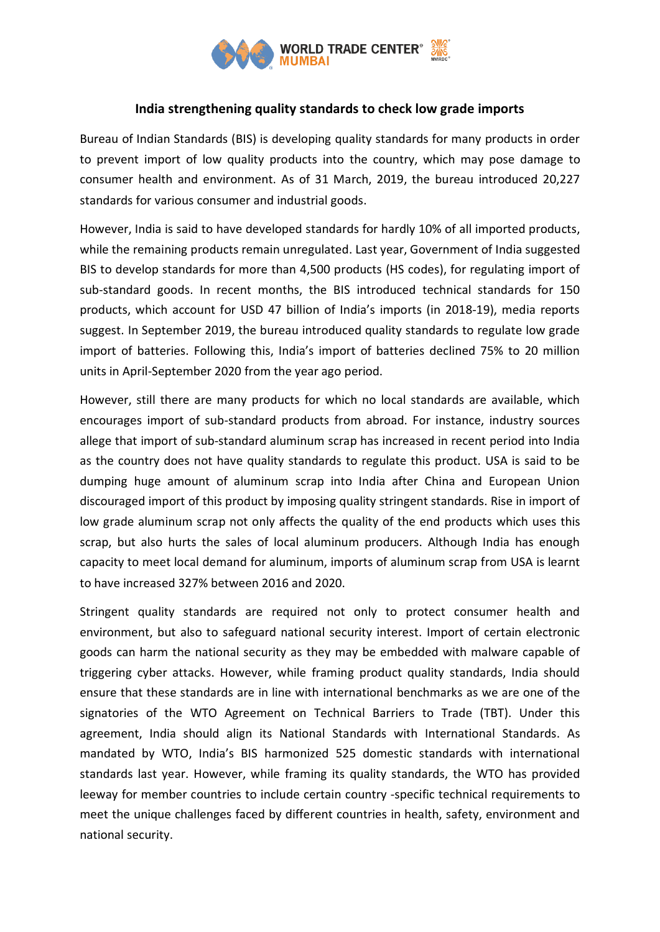

## **India strengthening quality standards to check low grade imports**

Bureau of Indian Standards (BIS) is developing quality standards for many products in order to prevent import of low quality products into the country, which may pose damage to consumer health and environment. As of 31 March, 2019, the bureau introduced 20,227 standards for various consumer and industrial goods.

However, India is said to have developed standards for hardly 10% of all imported products, while the remaining products remain unregulated. Last year, Government of India suggested BIS to develop standards for more than 4,500 products (HS codes), for regulating import of sub-standard goods. In recent months, the BIS introduced technical standards for 150 products, which account for USD 47 billion of India's imports (in 2018-19), media reports suggest. In September 2019, the bureau introduced quality standards to regulate low grade import of batteries. Following this, India's import of batteries declined 75% to 20 million units in April-September 2020 from the year ago period.

However, still there are many products for which no local standards are available, which encourages import of sub-standard products from abroad. For instance, industry sources allege that import of sub-standard aluminum scrap has increased in recent period into India as the country does not have quality standards to regulate this product. USA is said to be dumping huge amount of aluminum scrap into India after China and European Union discouraged import of this product by imposing quality stringent standards. Rise in import of low grade aluminum scrap not only affects the quality of the end products which uses this scrap, but also hurts the sales of local aluminum producers. Although India has enough capacity to meet local demand for aluminum, imports of aluminum scrap from USA is learnt to have increased 327% between 2016 and 2020.

Stringent quality standards are required not only to protect consumer health and environment, but also to safeguard national security interest. Import of certain electronic goods can harm the national security as they may be embedded with malware capable of triggering cyber attacks. However, while framing product quality standards, India should ensure that these standards are in line with international benchmarks as we are one of the signatories of the WTO Agreement on Technical Barriers to Trade (TBT). Under this agreement, India should align its National Standards with International Standards. As mandated by WTO, India's BIS harmonized 525 domestic standards with international standards last year. However, while framing its quality standards, the WTO has provided leeway for member countries to include certain country -specific technical requirements to meet the unique challenges faced by different countries in health, safety, environment and national security.